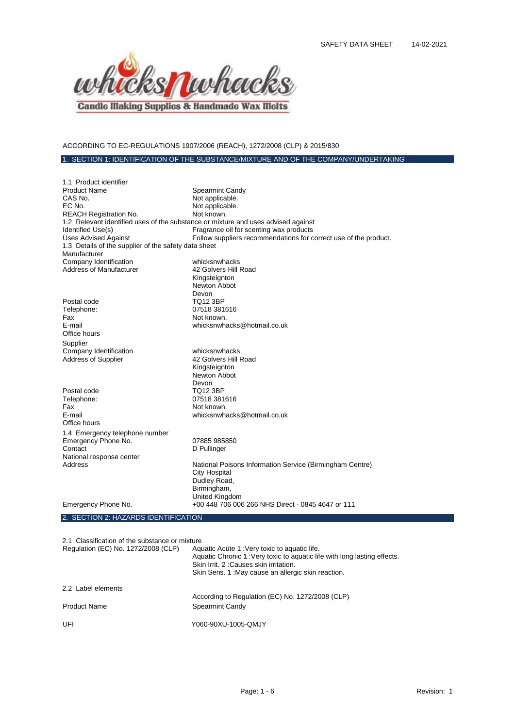

# ACCORDING TO EC-REGULATIONS 1907/2006 (REACH), 1272/2008 (CLP) & 2015/830

# 1. SECTION 1: IDENTIFICATION OF THE SUBSTANCE/MIXTURE AND OF THE COMPANY/UNDERTAKING

| 1.1 Product identifier                                                            |                                                                  |
|-----------------------------------------------------------------------------------|------------------------------------------------------------------|
| <b>Product Name</b>                                                               | <b>Spearmint Candy</b>                                           |
| CAS No.                                                                           | Not applicable.                                                  |
| EC No.                                                                            | Not applicable.                                                  |
| <b>REACH Registration No.</b>                                                     | Not known.                                                       |
| 1.2 Relevant identified uses of the substance or mixture and uses advised against |                                                                  |
| Identified Use(s)                                                                 | Fragrance oil for scenting wax products                          |
| <b>Uses Advised Against</b>                                                       | Follow suppliers recommendations for correct use of the product. |
| 1.3 Details of the supplier of the safety data sheet                              |                                                                  |
| Manufacturer                                                                      |                                                                  |
| Company Identification                                                            | whicksnwhacks                                                    |
| Address of Manufacturer                                                           | 42 Golvers Hill Road                                             |
|                                                                                   | Kingsteignton                                                    |
|                                                                                   | Newton Abbot                                                     |
|                                                                                   | Devon                                                            |
| Postal code                                                                       | <b>TQ12 3BP</b>                                                  |
| Telephone:                                                                        | 07518 381616                                                     |
| Fax                                                                               | Not known.                                                       |
| E-mail                                                                            | whicksnwhacks@hotmail.co.uk                                      |
| Office hours                                                                      |                                                                  |
| Supplier                                                                          |                                                                  |
| Company Identification                                                            | whicksnwhacks                                                    |
| <b>Address of Supplier</b>                                                        | 42 Golvers Hill Road                                             |
|                                                                                   | Kingsteignton                                                    |
|                                                                                   | Newton Abbot                                                     |
|                                                                                   | Devon                                                            |
| Postal code                                                                       | TQ12 3BP                                                         |
| Telephone:                                                                        | 07518 381616                                                     |
| Fax                                                                               | Not known.                                                       |
| F-mail                                                                            | whicksnwhacks@hotmail.co.uk                                      |
| Office hours                                                                      |                                                                  |
| 1.4 Emergency telephone number                                                    |                                                                  |
| Emergency Phone No.                                                               | 07885 985850                                                     |
| Contact                                                                           | D Pullinger                                                      |
| National response center                                                          |                                                                  |
| Address                                                                           | National Poisons Information Service (Birmingham Centre)         |
|                                                                                   | <b>City Hospital</b>                                             |
|                                                                                   | Dudley Road,                                                     |
|                                                                                   | Birmingham,                                                      |
|                                                                                   | United Kingdom                                                   |
| Emergency Phone No.                                                               | +00 448 706 006 266 NHS Direct - 0845 4647 or 111                |
|                                                                                   |                                                                  |

#### 2. SECTION 2: HAZARDS IDENTIFICATION

| 2.1 Classification of the substance or mixture |  |  |  |
|------------------------------------------------|--|--|--|
|------------------------------------------------|--|--|--|

| Regulation (EC) No. 1272/2008 (CLP) | Aquatic Acute 1: Very toxic to aquatic life.<br>Aquatic Chronic 1: Very toxic to aquatic life with long lasting effects.<br>Skin Irrit, 2: Causes skin irritation.<br>Skin Sens. 1: May cause an allergic skin reaction. |
|-------------------------------------|--------------------------------------------------------------------------------------------------------------------------------------------------------------------------------------------------------------------------|
| 2.2 Label elements                  |                                                                                                                                                                                                                          |
|                                     | According to Regulation (EC) No. 1272/2008 (CLP)                                                                                                                                                                         |
| <b>Product Name</b>                 | Spearmint Candy                                                                                                                                                                                                          |
| UFI                                 | Y060-90XU-1005-QMJY                                                                                                                                                                                                      |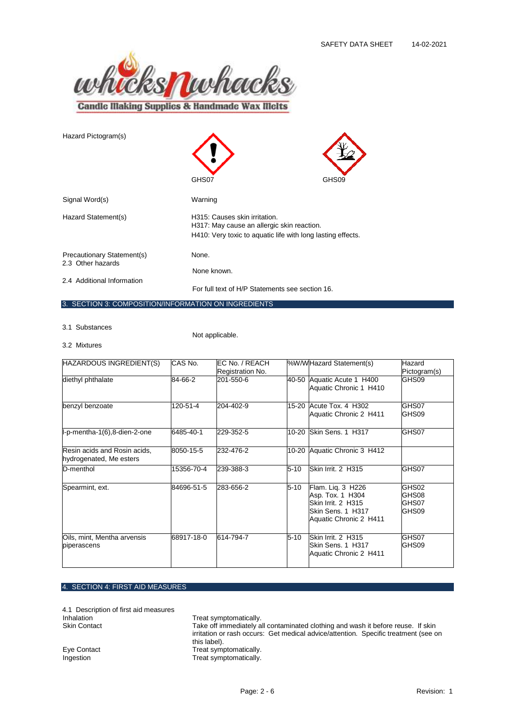

| Hazard Pictogram(s)                                  | GHS07                                                                       | GHS09                                                       |
|------------------------------------------------------|-----------------------------------------------------------------------------|-------------------------------------------------------------|
|                                                      |                                                                             |                                                             |
| Signal Word(s)                                       | Warning                                                                     |                                                             |
| Hazard Statement(s)                                  | H315: Causes skin irritation.<br>H317: May cause an allergic skin reaction. |                                                             |
|                                                      |                                                                             | H410: Very toxic to aquatic life with long lasting effects. |
| Precautionary Statement(s)<br>2.3 Other hazards      | None.                                                                       |                                                             |
|                                                      | None known.                                                                 |                                                             |
| 2.4 Additional Information                           | For full text of H/P Statements see section 16.                             |                                                             |
| 3. SECTION 3: COMPOSITION/INFORMATION ON INGREDIENTS |                                                                             |                                                             |

3.1 Substances

Not applicable.

3.2 Mixtures

| HAZARDOUS INGREDIENT(S)                                 | CAS No.    | EC No. / REACH<br>Registration No. |          | <b>WW</b> /Hazard Statement(s)                                                                               | Hazard<br>Pictogram(s)           |
|---------------------------------------------------------|------------|------------------------------------|----------|--------------------------------------------------------------------------------------------------------------|----------------------------------|
| diethyl phthalate                                       | 84-66-2    | 201-550-6                          |          | 40-50 Aquatic Acute 1 H400<br>Aquatic Chronic 1 H410                                                         | GHS09                            |
| benzyl benzoate                                         | 120-51-4   | 204-402-9                          |          | 15-20 Acute Tox, 4 H302<br>Aquatic Chronic 2 H411                                                            | GHS07<br>GHS09                   |
| l-p-mentha-1(6),8-dien-2-one                            | 6485-40-1  | 229-352-5                          |          | 10-20 Skin Sens. 1 H317                                                                                      | GHS07                            |
| Resin acids and Rosin acids,<br>hydrogenated, Me esters | 8050-15-5  | 232-476-2                          |          | 10-20 Aquatic Chronic 3 H412                                                                                 |                                  |
| D-menthol                                               | 15356-70-4 | 239-388-3                          | $5 - 10$ | Skin Irrit. 2 H315                                                                                           | GHS07                            |
| Spearmint, ext.                                         | 84696-51-5 | 283-656-2                          | $5 - 10$ | Flam. Liq. 3 H226<br>Asp. Tox. 1 H304<br>Skin Irrit. 2 H315<br>lSkin Sens. 1  H317<br>Aquatic Chronic 2 H411 | GHS02<br>GHS08<br>GHS07<br>GHS09 |
| Oils, mint, Mentha arvensis<br>piperascens              | 68917-18-0 | 614-794-7                          | $5 - 10$ | Skin Irrit. 2 H315<br><b>Skin Sens. 1 H317</b><br>Aquatic Chronic 2 H411                                     | GHS07<br>GHS09                   |

### 4. SECTION 4: FIRST AID MEASURES

4.1 Description of first aid measures Inhalation **Treat symptomatically**.

Skin Contact Take off immediately all contaminated clothing and wash it before reuse. If skin irritation or rash occurs: Get medical advice/attention. Specific treatment (see on this label).

Eye Contact Treat symptomatically.<br>
Ingestion Treat symptomatically. Treat symptomatically.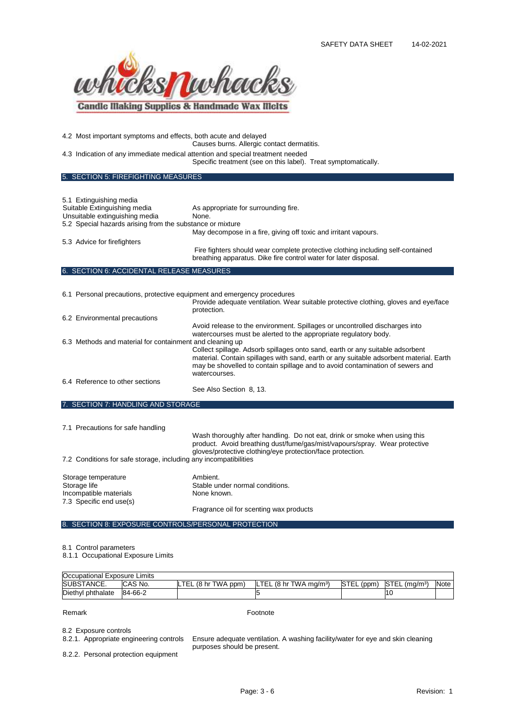

4.2 Most important symptoms and effects, both acute and delayed

Causes burns. Allergic contact dermatitis.

4.3 Indication of any immediate medical attention and special treatment needed Specific treatment (see on this label). Treat symptomatically.

5. SECTION 5: FIREFIGHTING MEASURES

| 5.1 Extinguishing media<br>Suitable Extinguishing media<br>Unsuitable extinguishing media<br>5.2 Special hazards arising from the substance or mixture | As appropriate for surrounding fire.<br>None.<br>May decompose in a fire, giving off toxic and irritant vapours.                                                                                                                                                                                                                                                                                            |
|--------------------------------------------------------------------------------------------------------------------------------------------------------|-------------------------------------------------------------------------------------------------------------------------------------------------------------------------------------------------------------------------------------------------------------------------------------------------------------------------------------------------------------------------------------------------------------|
| 5.3 Advice for firefighters                                                                                                                            |                                                                                                                                                                                                                                                                                                                                                                                                             |
|                                                                                                                                                        | Fire fighters should wear complete protective clothing including self-contained<br>breathing apparatus. Dike fire control water for later disposal.                                                                                                                                                                                                                                                         |
| 6. SECTION 6: ACCIDENTAL RELEASE MEASURES                                                                                                              |                                                                                                                                                                                                                                                                                                                                                                                                             |
| 6.1 Personal precautions, protective equipment and emergency procedures                                                                                | Provide adequate ventilation. Wear suitable protective clothing, gloves and eye/face<br>protection.                                                                                                                                                                                                                                                                                                         |
| 6.2 Environmental precautions                                                                                                                          |                                                                                                                                                                                                                                                                                                                                                                                                             |
| 6.3 Methods and material for containment and cleaning up                                                                                               | Avoid release to the environment. Spillages or uncontrolled discharges into<br>watercourses must be alerted to the appropriate regulatory body.<br>Collect spillage. Adsorb spillages onto sand, earth or any suitable adsorbent<br>material. Contain spillages with sand, earth or any suitable adsorbent material. Earth<br>may be shovelled to contain spillage and to avoid contamination of sewers and |
| 6.4 Reference to other sections                                                                                                                        | watercourses.<br>See Also Section 8, 13.                                                                                                                                                                                                                                                                                                                                                                    |

7. SECTION 7: HANDLING AND STORAGE

7.1 Precautions for safe handling

Wash thoroughly after handling. Do not eat, drink or smoke when using this product. Avoid breathing dust/fume/gas/mist/vapours/spray. Wear protective gloves/protective clothing/eye protection/face protection.

7.2 Conditions for safe storage, including any incompatibilities

| Storage temperature     | Ambient.                                |
|-------------------------|-----------------------------------------|
| Storage life            | Stable under normal conditions.         |
| Incompatible materials  | None known.                             |
| 7.3 Specific end use(s) |                                         |
|                         | Fragrance oil for scenting wax products |

8. SECTION 8: EXPOSURE CONTROLS/PERSONAL PROTECTION

8.1 Control parameters

8.1.1 Occupational Exposure Limits

| Occupational Exposure Limits |                |                     |                                      |            |                 |             |
|------------------------------|----------------|---------------------|--------------------------------------|------------|-----------------|-------------|
| SUBSTANCE.                   | <b>CAS No.</b> | LTEL (8 hr TWA ppm) | $LTEL$ (8 hr TWA ma/m <sup>3</sup> ) | STEL (ppm) | . ISTEL (mɑ/mª) | <b>Note</b> |
| Diethyl phthalate            | 84-66-2        |                     |                                      |            |                 |             |

Remark **Footnote** 

8.2 Exposure controls<br>8.2.1. Appropriate engineering controls

Ensure adequate ventilation. A washing facility/water for eye and skin cleaning purposes should be present.

8.2.2. Personal protection equipment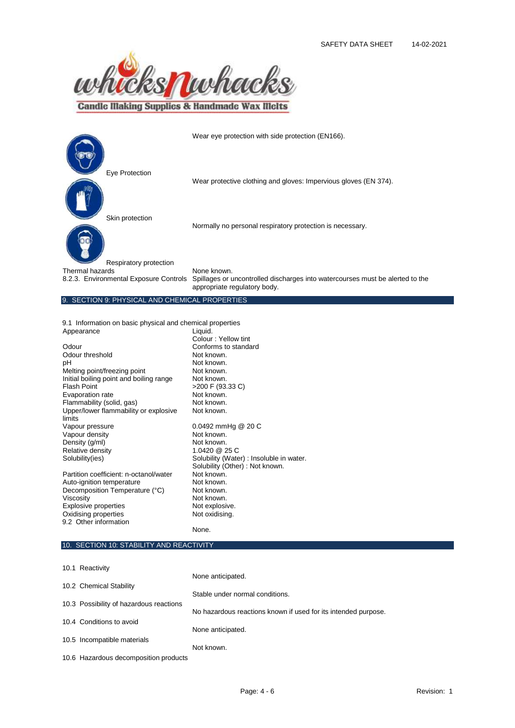

**Candle Making Supplies & Handmade Wax Melts** 

|                                                                                     | Wear eye protection with side protection (EN166).                                                                            |
|-------------------------------------------------------------------------------------|------------------------------------------------------------------------------------------------------------------------------|
| Eye Protection                                                                      | Wear protective clothing and gloves: Impervious gloves (EN 374).                                                             |
| Skin protection                                                                     | Normally no personal respiratory protection is necessary.                                                                    |
| Respiratory protection<br>Thermal hazards<br>8.2.3. Environmental Exposure Controls | None known.<br>Spillages or uncontrolled discharges into watercourses must be alerted to the<br>appropriate regulatory body. |
| 9. SECTION 9: PHYSICAL AND CHEMICAL PROPERTIES                                      |                                                                                                                              |

9.1 Information on basic physical and chemical properties Appearance

|                                                 | Colour: Yellow tint                                                        |
|-------------------------------------------------|----------------------------------------------------------------------------|
| Odour                                           | Conforms to standard                                                       |
| Odour threshold                                 | Not known.                                                                 |
| рH                                              | Not known.                                                                 |
| Melting point/freezing point                    | Not known.                                                                 |
| Initial boiling point and boiling range         | Not known.                                                                 |
| <b>Flash Point</b>                              | >200 F (93.33 C)                                                           |
| Evaporation rate                                | Not known.                                                                 |
| Flammability (solid, gas)                       | Not known.                                                                 |
| Upper/lower flammability or explosive<br>limits | Not known.                                                                 |
| Vapour pressure                                 | 0.0492 mmHg @ 20 C                                                         |
| Vapour density                                  | Not known.                                                                 |
| Density (g/ml)                                  | Not known.                                                                 |
| Relative density                                | 1.0420 @ 25 C                                                              |
| Solubility(ies)                                 | Solubility (Water) : Insoluble in water.<br>Solubility (Other): Not known. |
| Partition coefficient: n-octanol/water          | Not known.                                                                 |
| Auto-ignition temperature                       | Not known.                                                                 |
| Decomposition Temperature (°C)                  | Not known.                                                                 |
| Viscosity                                       | Not known.                                                                 |
| <b>Explosive properties</b>                     | Not explosive.                                                             |
| Oxidising properties                            | Not oxidising.                                                             |
| 9.2 Other information                           |                                                                            |
|                                                 | None.                                                                      |

# 10. SECTION 10: STABILITY AND REACTIVITY

| 10.1 Reactivity                         |                                                                |
|-----------------------------------------|----------------------------------------------------------------|
|                                         | None anticipated.                                              |
| 10.2 Chemical Stability                 | Stable under normal conditions.                                |
| 10.3 Possibility of hazardous reactions |                                                                |
|                                         | No hazardous reactions known if used for its intended purpose. |
| 10.4 Conditions to avoid                |                                                                |
|                                         | None anticipated.                                              |
| 10.5 Incompatible materials             |                                                                |
|                                         | Not known.                                                     |
| 10.6 Hazardous decomposition products   |                                                                |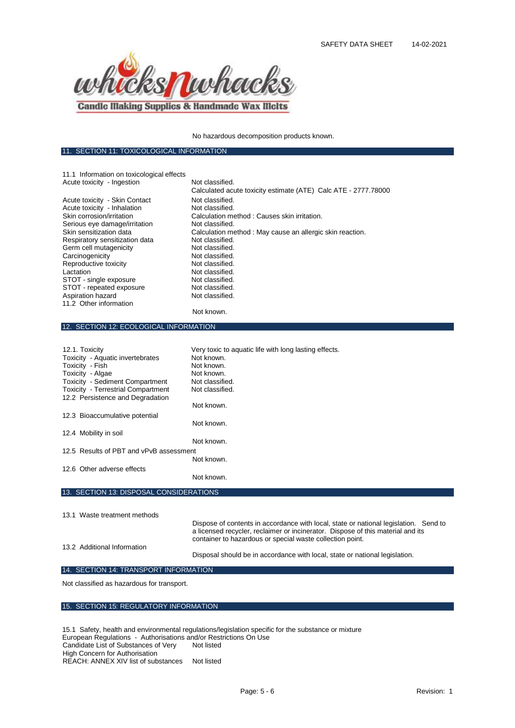

11. SECTION 11: TOXICOLOGICAL INFORMATION

No hazardous decomposition products known.

| 11.1 Information on toxicological effects                |                                                                                      |
|----------------------------------------------------------|--------------------------------------------------------------------------------------|
| Acute toxicity - Ingestion                               | Not classified.                                                                      |
|                                                          | Calculated acute toxicity estimate (ATE) Calc ATE - 2777.78000                       |
| Acute toxicity - Skin Contact                            | Not classified.                                                                      |
| Acute toxicity - Inhalation<br>Skin corrosion/irritation | Not classified.<br>Calculation method: Causes skin irritation.                       |
| Serious eye damage/irritation                            | Not classified.                                                                      |
| Skin sensitization data                                  | Calculation method: May cause an allergic skin reaction.                             |
| Respiratory sensitization data                           | Not classified.                                                                      |
| Germ cell mutagenicity                                   | Not classified.                                                                      |
| Carcinogenicity                                          | Not classified.                                                                      |
| Reproductive toxicity                                    | Not classified.                                                                      |
| Lactation                                                | Not classified.<br>Not classified.                                                   |
| STOT - single exposure<br>STOT - repeated exposure       | Not classified.                                                                      |
| Aspiration hazard                                        | Not classified.                                                                      |
| 11.2 Other information                                   |                                                                                      |
|                                                          | Not known.                                                                           |
| 12. SECTION 12: ECOLOGICAL INFORMATION                   |                                                                                      |
|                                                          |                                                                                      |
| 12.1. Toxicity                                           | Very toxic to aquatic life with long lasting effects.                                |
| Toxicity - Aquatic invertebrates                         | Not known.                                                                           |
| Toxicity - Fish                                          | Not known.                                                                           |
| Toxicity - Algae                                         | Not known.                                                                           |
| Toxicity - Sediment Compartment                          | Not classified.                                                                      |
| <b>Toxicity - Terrestrial Compartment</b>                | Not classified.                                                                      |
| 12.2 Persistence and Degradation                         |                                                                                      |
|                                                          | Not known.                                                                           |
| 12.3 Bioaccumulative potential                           |                                                                                      |
|                                                          | Not known.                                                                           |
| 12.4 Mobility in soil                                    |                                                                                      |
|                                                          | Not known.                                                                           |
| 12.5 Results of PBT and vPvB assessment                  |                                                                                      |
|                                                          | Not known.                                                                           |
| 12.6 Other adverse effects                               |                                                                                      |
|                                                          | Not known.                                                                           |
| 13. SECTION 13: DISPOSAL CONSIDERATIONS                  |                                                                                      |
|                                                          |                                                                                      |
| 13.1 Waste treatment methods                             |                                                                                      |
|                                                          | Dispose of contents in accordance with local, state or national legislation. Send to |
|                                                          | a licensed recycler, reclaimer or incinerator. Dispose of this material and its      |
|                                                          | container to hazardous or special waste collection point.                            |
| 13.2 Additional Information                              |                                                                                      |
|                                                          | Disposal should be in accordance with local, state or national legislation.          |
| 14. SECTION 14: TRANSPORT INFORMATION                    |                                                                                      |
| Not classified as hazardous for transport.               |                                                                                      |

#### 15. SECTION 15: REGULATORY INFORMATION

15.1 Safety, health and environmental regulations/legislation specific for the substance or mixture European Regulations - Authorisations and/or Restrictions On Use Candidate List of Substances of Very High Concern for Authorisation Not listed REACH: ANNEX XIV list of substances Not listed